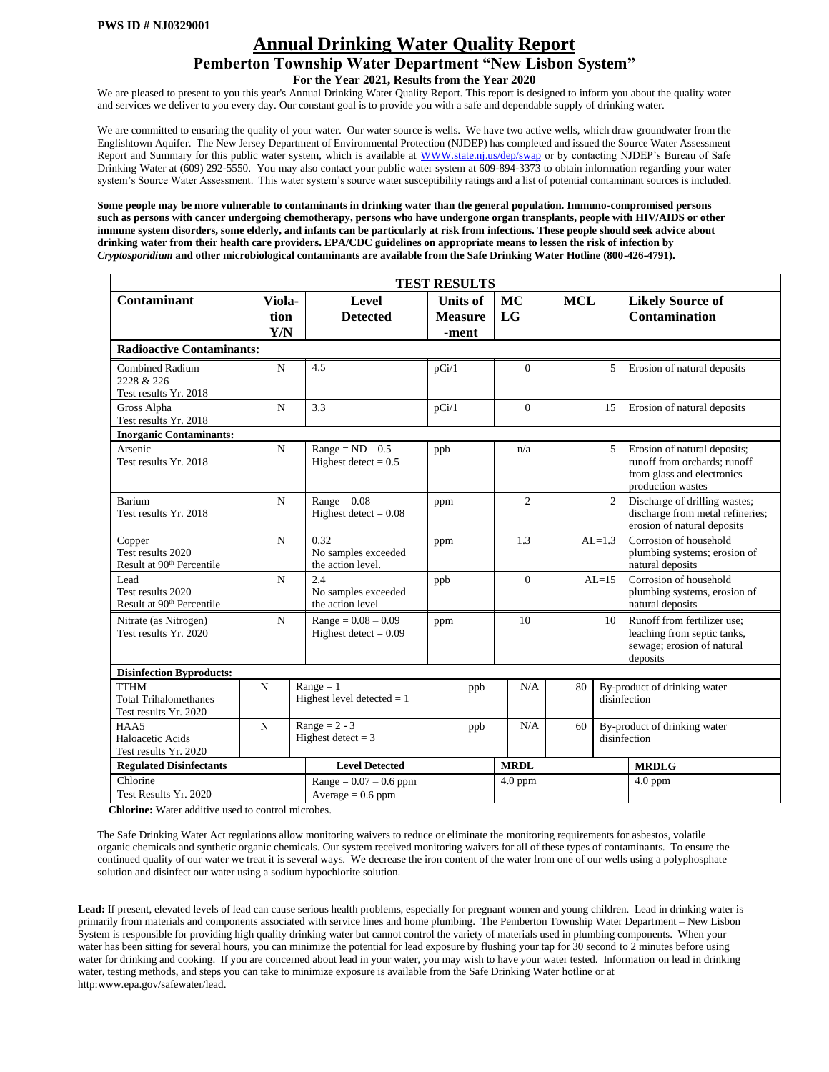# **Annual Drinking Water Quality Report**

## **Pemberton Township Water Department "New Lisbon System"**

**For the Year 2021, Results from the Year 2020**

We are pleased to present to you this year's Annual Drinking Water Quality Report. This report is designed to inform you about the quality water and services we deliver to you every day. Our constant goal is to provide you with a safe and dependable supply of drinking water.

We are committed to ensuring the quality of your water. Our water source is wells. We have two active wells, which draw groundwater from the Englishtown Aquifer. The New Jersey Department of Environmental Protection (NJDEP) has completed and issued the Source Water Assessment Report and Summary for this public water system, which is available at [WWW.state.nj.us/dep/swap](http://www.state.nj.us/dep/swap) or by contacting NJDEP's Bureau of Safe Drinking Water at (609) 292-5550. You may also contact your public water system at 609-894-3373 to obtain information regarding your water system's Source Water Assessment. This water system's source water susceptibility ratings and a list of potential contaminant sources is included.

**Some people may be more vulnerable to contaminants in drinking water than the general population. Immuno-compromised persons such as persons with cancer undergoing chemotherapy, persons who have undergone organ transplants, people with HIV/AIDS or other immune system disorders, some elderly, and infants can be particularly at risk from infections. These people should seek advice about drinking water from their health care providers. EPA/CDC guidelines on appropriate means to lessen the risk of infection by**  *Cryptosporidium* **and other microbiological contaminants are available from the Safe Drinking Water Hotline (800-426-4791).** 

|                                                                      |                       |                                                  | <b>TEST RESULTS</b>                        |           |                |            |               |                                                                                                                 |  |  |  |
|----------------------------------------------------------------------|-----------------------|--------------------------------------------------|--------------------------------------------|-----------|----------------|------------|---------------|-----------------------------------------------------------------------------------------------------------------|--|--|--|
| <b>Contaminant</b>                                                   | Viola-<br>tion<br>Y/N | Level<br><b>Detected</b>                         | <b>Units of</b><br><b>Measure</b><br>-ment |           | MC<br>LG       | <b>MCL</b> |               | <b>Likely Source of</b><br><b>Contamination</b>                                                                 |  |  |  |
| <b>Radioactive Contaminants:</b>                                     |                       |                                                  |                                            |           |                |            |               |                                                                                                                 |  |  |  |
| <b>Combined Radium</b><br>2228 & 226<br>Test results Yr. 2018        | $\mathbf N$           | 4.5                                              | pCi/1                                      |           | $\Omega$       |            | 5             | Erosion of natural deposits                                                                                     |  |  |  |
| Gross Alpha<br>Test results Yr. 2018                                 | $\mathbf N$           | 3.3                                              | pCi/1                                      |           |                | 15         |               | Erosion of natural deposits                                                                                     |  |  |  |
| <b>Inorganic Contaminants:</b>                                       |                       |                                                  |                                            |           |                |            |               |                                                                                                                 |  |  |  |
| Arsenic<br>Test results Yr. 2018                                     | $\mathbf N$           | $Range = ND - 0.5$<br>Highest detect = $0.5$     | ppb                                        |           | n/a            |            | 5             | Erosion of natural deposits;<br>runoff from orchards: runoff<br>from glass and electronics<br>production wastes |  |  |  |
| <b>Barium</b><br>Test results Yr. 2018                               | $\mathbf N$           | $Range = 0.08$<br>Highest detect = $0.08$        | ppm                                        |           | $\overline{2}$ |            | $\mathcal{L}$ | Discharge of drilling wastes;<br>discharge from metal refineries;<br>erosion of natural deposits                |  |  |  |
| Copper<br>Test results 2020<br>Result at 90 <sup>th</sup> Percentile | $\mathbf N$           | 0.32<br>No samples exceeded<br>the action level. | ppm                                        |           | 1.3            |            | $AL=1.3$      | Corrosion of household<br>plumbing systems; erosion of<br>natural deposits                                      |  |  |  |
| Lead<br>Test results 2020<br>Result at 90 <sup>th</sup> Percentile   | $\mathbf N$           | 2.4<br>No samples exceeded<br>the action level   | ppb                                        |           | $\Omega$       | $AL=15$    |               | Corrosion of household<br>plumbing systems, erosion of<br>natural deposits                                      |  |  |  |
| Nitrate (as Nitrogen)<br>Test results Yr. 2020                       | $\mathbf N$           | $Range = 0.08 - 0.09$<br>Highest detect = $0.09$ | ppm                                        |           | 10             | 10         |               | Runoff from fertilizer use:<br>leaching from septic tanks,<br>sewage; erosion of natural<br>deposits            |  |  |  |
| <b>Disinfection Byproducts:</b>                                      |                       |                                                  |                                            |           |                |            |               |                                                                                                                 |  |  |  |
| <b>TTHM</b><br><b>Total Trihalomethanes</b><br>Test results Yr. 2020 | $\mathbf N$           | $Range = 1$<br>Highest level detected $= 1$      |                                            | ppb       | N/A            | 80         |               | By-product of drinking water<br>disinfection                                                                    |  |  |  |
| HAA5<br>Haloacetic Acids<br>Test results Yr. 2020                    | $\mathbf N$           | Range = $2 - 3$<br>Highest detect = $3$          |                                            | ppb       | N/A            | 60         |               | By-product of drinking water<br>disinfection                                                                    |  |  |  |
| <b>Regulated Disinfectants</b>                                       |                       | <b>Level Detected</b>                            |                                            |           |                |            |               | <b>MRDLG</b>                                                                                                    |  |  |  |
| Chlorine<br>Test Results Yr. 2020                                    |                       | $Range = 0.07 - 0.6$ ppm<br>$Average = 0.6 ppm$  |                                            | $4.0$ ppm |                |            | $4.0$ ppm     |                                                                                                                 |  |  |  |

**Chlorine:** Water additive used to control microbes.

The Safe Drinking Water Act regulations allow monitoring waivers to reduce or eliminate the monitoring requirements for asbestos, volatile organic chemicals and synthetic organic chemicals. Our system received monitoring waivers for all of these types of contaminants. To ensure the continued quality of our water we treat it is several ways. We decrease the iron content of the water from one of our wells using a polyphosphate solution and disinfect our water using a sodium hypochlorite solution.

**Lead:** If present, elevated levels of lead can cause serious health problems, especially for pregnant women and young children. Lead in drinking water is primarily from materials and components associated with service lines and home plumbing. The Pemberton Township Water Department – New Lisbon System is responsible for providing high quality drinking water but cannot control the variety of materials used in plumbing components. When your water has been sitting for several hours, you can minimize the potential for lead exposure by flushing your tap for 30 second to 2 minutes before using water for drinking and cooking. If you are concerned about lead in your water, you may wish to have your water tested. Information on lead in drinking water, testing methods, and steps you can take to minimize exposure is available from the Safe Drinking Water hotline or at http:www.epa.gov/safewater/lead.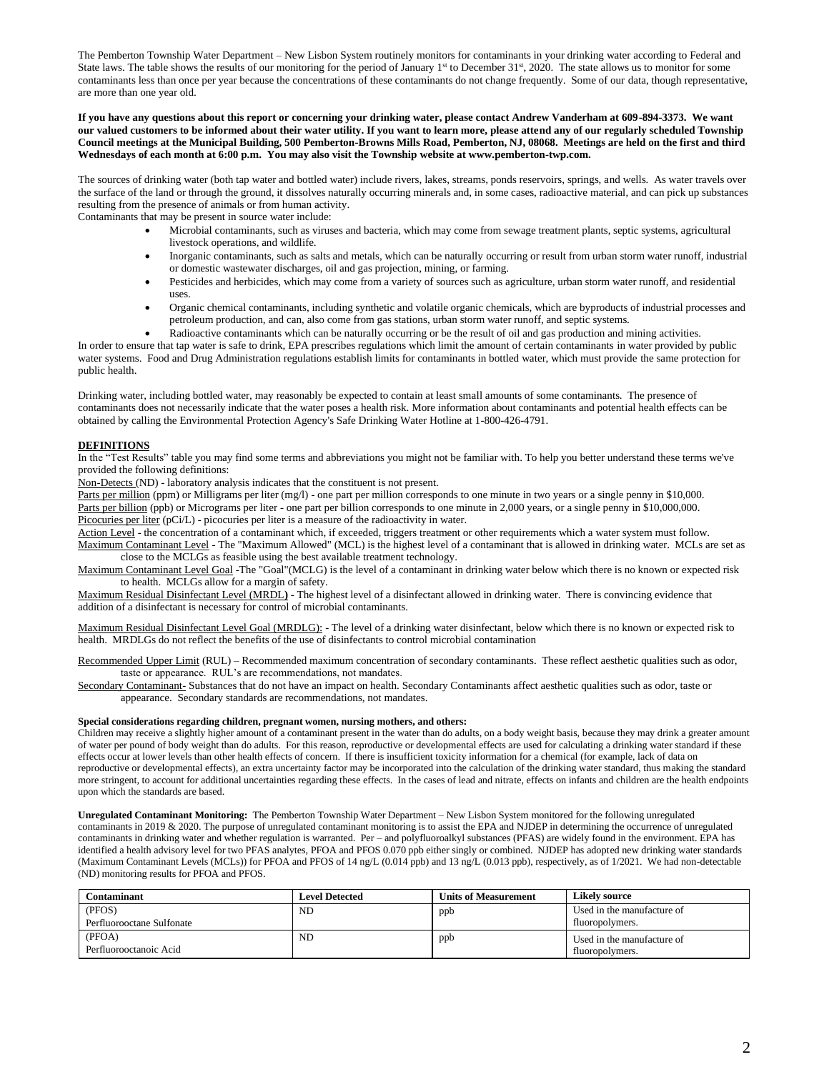The Pemberton Township Water Department – New Lisbon System routinely monitors for contaminants in your drinking water according to Federal and State laws. The table shows the results of our monitoring for the period of January  $1<sup>st</sup>$  to December 31 $<sup>st</sup>$ , 2020. The state allows us to monitor for some</sup> contaminants less than once per year because the concentrations of these contaminants do not change frequently. Some of our data, though representative, are more than one year old.

#### **If you have any questions about this report or concerning your drinking water, please contact Andrew Vanderham at 609-894-3373. We want our valued customers to be informed about their water utility. If you want to learn more, please attend any of our regularly scheduled Township Council meetings at the Municipal Building, 500 Pemberton-Browns Mills Road, Pemberton, NJ, 08068. Meetings are held on the first and third Wednesdays of each month at 6:00 p.m. You may also visit the Township website at www.pemberton-twp.com.**

The sources of drinking water (both tap water and bottled water) include rivers, lakes, streams, ponds reservoirs, springs, and wells. As water travels over the surface of the land or through the ground, it dissolves naturally occurring minerals and, in some cases, radioactive material, and can pick up substances resulting from the presence of animals or from human activity.

Contaminants that may be present in source water include:

- Microbial contaminants, such as viruses and bacteria, which may come from sewage treatment plants, septic systems, agricultural livestock operations, and wildlife.
- Inorganic contaminants, such as salts and metals, which can be naturally occurring or result from urban storm water runoff, industrial or domestic wastewater discharges, oil and gas projection, mining, or farming.
- Pesticides and herbicides, which may come from a variety of sources such as agriculture, urban storm water runoff, and residential uses.
- Organic chemical contaminants, including synthetic and volatile organic chemicals, which are byproducts of industrial processes and petroleum production, and can, also come from gas stations, urban storm water runoff, and septic systems.

• Radioactive contaminants which can be naturally occurring or be the result of oil and gas production and mining activities. In order to ensure that tap water is safe to drink, EPA prescribes regulations which limit the amount of certain contaminants in water provided by public water systems. Food and Drug Administration regulations establish limits for contaminants in bottled water, which must provide the same protection for public health.

Drinking water, including bottled water, may reasonably be expected to contain at least small amounts of some contaminants. The presence of contaminants does not necessarily indicate that the water poses a health risk. More information about contaminants and potential health effects can be obtained by calling the Environmental Protection Agency's Safe Drinking Water Hotline at 1-800-426-4791.

#### **DEFINITIONS**

In the "Test Results" table you may find some terms and abbreviations you might not be familiar with. To help you better understand these terms we've provided the following definitions:

Non-Detects (ND) - laboratory analysis indicates that the constituent is not present.

Parts per million (ppm) or Milligrams per liter (mg/l) - one part per million corresponds to one minute in two years or a single penny in \$10,000. Parts per billion (ppb) or Micrograms per liter - one part per billion corresponds to one minute in 2,000 years, or a single penny in \$10,000,000. Picocuries per liter (pCi/L) - picocuries per liter is a measure of the radioactivity in water.

Action Level - the concentration of a contaminant which, if exceeded, triggers treatment or other requirements which a water system must follow. Maximum Contaminant Level - The "Maximum Allowed" (MCL) is the highest level of a contaminant that is allowed in drinking water. MCLs are set as close to the MCLGs as feasible using the best available treatment technology.

Maximum Contaminant Level Goal -The "Goal"(MCLG) is the level of a contaminant in drinking water below which there is no known or expected risk to health. MCLGs allow for a margin of safety.

Maximum Residual Disinfectant Level (MRDL**) -** The highest level of a disinfectant allowed in drinking water. There is convincing evidence that addition of a disinfectant is necessary for control of microbial contaminants.

Maximum Residual Disinfectant Level Goal (MRDLG): - The level of a drinking water disinfectant, below which there is no known or expected risk to health. MRDLGs do not reflect the benefits of the use of disinfectants to control microbial contamination

Recommended Upper Limit (RUL) – Recommended maximum concentration of secondary contaminants. These reflect aesthetic qualities such as odor, taste or appearance. RUL's are recommendations, not mandates.

Secondary Contaminant- Substances that do not have an impact on health. Secondary Contaminants affect aesthetic qualities such as odor, taste or appearance. Secondary standards are recommendations, not mandates.

#### **Special considerations regarding children, pregnant women, nursing mothers, and others:**

Children may receive a slightly higher amount of a contaminant present in the water than do adults, on a body weight basis, because they may drink a greater amount of water per pound of body weight than do adults. For this reason, reproductive or developmental effects are used for calculating a drinking water standard if these effects occur at lower levels than other health effects of concern. If there is insufficient toxicity information for a chemical (for example, lack of data on reproductive or developmental effects), an extra uncertainty factor may be incorporated into the calculation of the drinking water standard, thus making the standard more stringent, to account for additional uncertainties regarding these effects. In the cases of lead and nitrate, effects on infants and children are the health endpoints upon which the standards are based.

**Unregulated Contaminant Monitoring:** The Pemberton Township Water Department – New Lisbon System monitored for the following unregulated contaminants in 2019 & 2020. The purpose of unregulated contaminant monitoring is to assist the EPA and NJDEP in determining the occurrence of unregulated contaminants in drinking water and whether regulation is warranted. Per – and polyfluoroalkyl substances (PFAS) are widely found in the environment. EPA has identified a health advisory level for two PFAS analytes, PFOA and PFOS 0.070 ppb either singly or combined. NJDEP has adopted new drinking water standards (Maximum Contaminant Levels (MCLs)) for PFOA and PFOS of 14 ng/L (0.014 ppb) and 13 ng/L (0.013 ppb), respectively, as of 1/2021. We had non-detectable (ND) monitoring results for PFOA and PFOS.

| Contaminant               | <b>Level Detected</b> | <b>Units of Measurement</b> | <b>Likely source</b>       |
|---------------------------|-----------------------|-----------------------------|----------------------------|
| (PFOS)                    | ND                    | ppb                         | Used in the manufacture of |
| Perfluorooctane Sulfonate |                       |                             | fluoropolymers.            |
| (PFOA)                    | ND                    | ppb                         | Used in the manufacture of |
| Perfluorooctanoic Acid    |                       |                             | fluoropolymers.            |